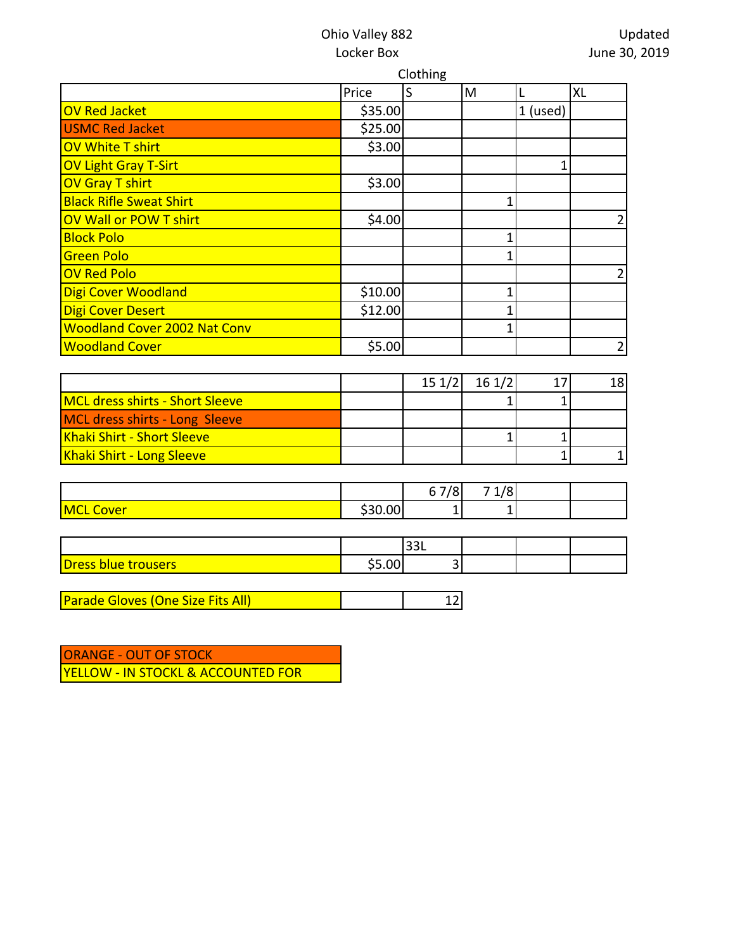## Ohio Valley 882 Locker Box

|                                     | Clothing |   |   |            |                |
|-------------------------------------|----------|---|---|------------|----------------|
|                                     | Price    | S | M |            | XL             |
| <b>OV Red Jacket</b>                | \$35.00  |   |   | $1$ (used) |                |
| <b>USMC Red Jacket</b>              | \$25.00  |   |   |            |                |
| <b>OV White T shirt</b>             | \$3.00   |   |   |            |                |
| <b>OV Light Gray T-Sirt</b>         |          |   |   | 1          |                |
| <b>OV Gray T shirt</b>              | \$3.00   |   |   |            |                |
| <b>Black Rifle Sweat Shirt</b>      |          |   |   |            |                |
| OV Wall or POW T shirt              | \$4.00   |   |   |            | $\overline{2}$ |
| <b>Block Polo</b>                   |          |   |   |            |                |
| <b>Green Polo</b>                   |          |   | 1 |            |                |
| <b>OV Red Polo</b>                  |          |   |   |            | 2              |
| Digi Cover Woodland                 | \$10.00  |   |   |            |                |
| <b>Digi Cover Desert</b>            | \$12.00  |   |   |            |                |
| <b>Woodland Cover 2002 Nat Conv</b> |          |   | 1 |            |                |
| <b>Woodland Cover</b>               | \$5.00   |   |   |            | $\overline{2}$ |

|                                        | 151/2 | 161/2 | 18I |
|----------------------------------------|-------|-------|-----|
| <b>MCL dress shirts - Short Sleeve</b> |       |       |     |
| MCL dress shirts - Long Sleeve         |       |       |     |
| Khaki Shirt - Short Sleeve             |       |       |     |
| Khaki Shirt - Long Sleeve              |       |       |     |

|                     |       | 7/0 <sub>1</sub> | 70<br>-<br>-- |  |
|---------------------|-------|------------------|---------------|--|
| MCL<br><b>Cover</b> | 30.00 | -                |               |  |

|                                         |        | ∣JJ∟ |  |  |
|-----------------------------------------|--------|------|--|--|
| <b>Dress</b><br><b>trousers</b><br>blue | $\sim$ |      |  |  |

Parade Gloves (One Size Fits All) 12

ORANGE - OUT OF STOCK YELLOW - IN STOCKL & ACCOUNTED FOR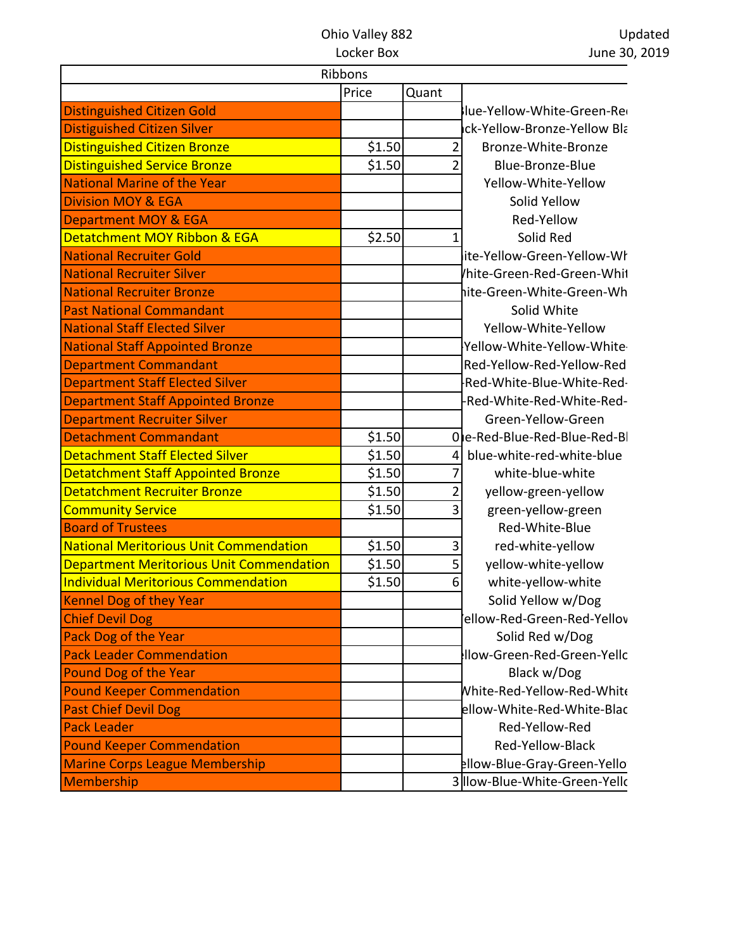## Ohio Valley 882 Locker Box

Updated June 30, 2019

|                                                 | Ribbons |                |                               |
|-------------------------------------------------|---------|----------------|-------------------------------|
|                                                 | Price   | Quant          |                               |
| <b>Distinguished Citizen Gold</b>               |         |                | lue-Yellow-White-Green-Re     |
| <b>Distiguished Citizen Silver</b>              |         |                | ick-Yellow-Bronze-Yellow Bla  |
| <b>Distinguished Citizen Bronze</b>             | \$1.50  | 2              | Bronze-White-Bronze           |
| <b>Distinguished Service Bronze</b>             | \$1.50  | 2              | Blue-Bronze-Blue              |
| <b>National Marine of the Year</b>              |         |                | Yellow-White-Yellow           |
| <b>Division MOY &amp; EGA</b>                   |         |                | Solid Yellow                  |
| <b>Department MOY &amp; EGA</b>                 |         |                | Red-Yellow                    |
| Detatchment MOY Ribbon & EGA                    | \$2.50  | 1              | Solid Red                     |
| <b>National Recruiter Gold</b>                  |         |                | ite-Yellow-Green-Yellow-Wł    |
| <b>National Recruiter Silver</b>                |         |                | hite-Green-Red-Green-Whit     |
| <b>National Recruiter Bronze</b>                |         |                | hite-Green-White-Green-Wh     |
| <b>Past National Commandant</b>                 |         |                | Solid White                   |
| <b>National Staff Elected Silver</b>            |         |                | Yellow-White-Yellow           |
| <b>National Staff Appointed Bronze</b>          |         |                | Yellow-White-Yellow-White     |
| <b>Department Commandant</b>                    |         |                | Red-Yellow-Red-Yellow-Red     |
| <b>Department Staff Elected Silver</b>          |         |                | -Red-White-Blue-White-Red-    |
| <b>Department Staff Appointed Bronze</b>        |         |                | -Red-White-Red-White-Red-     |
| <b>Department Recruiter Silver</b>              |         |                | Green-Yellow-Green            |
| <b>Detachment Commandant</b>                    | \$1.50  |                | Ole-Red-Blue-Red-Blue-Red-B   |
| <b>Detachment Staff Elected Silver</b>          | \$1.50  | 4              | blue-white-red-white-blue     |
| <b>Detatchment Staff Appointed Bronze</b>       | \$1.50  |                | white-blue-white              |
| <b>Detatchment Recruiter Bronze</b>             | \$1.50  | $\overline{2}$ | yellow-green-yellow           |
| <b>Community Service</b>                        | \$1.50  | 3              | green-yellow-green            |
| <b>Board of Trustees</b>                        |         |                | Red-White-Blue                |
| <b>National Meritorious Unit Commendation</b>   | \$1.50  | 3              | red-white-yellow              |
| <b>Department Meritorious Unit Commendation</b> | \$1.50  | 5              | yellow-white-yellow           |
| <b>Individual Meritorious Commendation</b>      | \$1.50  | 6              | white-yellow-white            |
| <b>Kennel Dog of they Year</b>                  |         |                | Solid Yellow w/Dog            |
| <b>Chief Devil Dog</b>                          |         |                | ellow-Red-Green-Red-Yellov'   |
| <b>Pack Dog of the Year</b>                     |         |                | Solid Red w/Dog               |
| <b>Pack Leader Commendation</b>                 |         |                | Ilow-Green-Red-Green-Yellc    |
| Pound Dog of the Year                           |         |                | Black w/Dog                   |
| <b>Pound Keeper Commendation</b>                |         |                | White-Red-Yellow-Red-White    |
| <b>Past Chief Devil Dog</b>                     |         |                | ellow-White-Red-White-Blac    |
| <b>Pack Leader</b>                              |         |                | Red-Yellow-Red                |
| <b>Pound Keeper Commendation</b>                |         |                | Red-Yellow-Black              |
| <b>Marine Corps League Membership</b>           |         |                | ellow-Blue-Gray-Green-Yello   |
| <b>Membership</b>                               |         |                | 3 Ilow-Blue-White-Green-Yello |